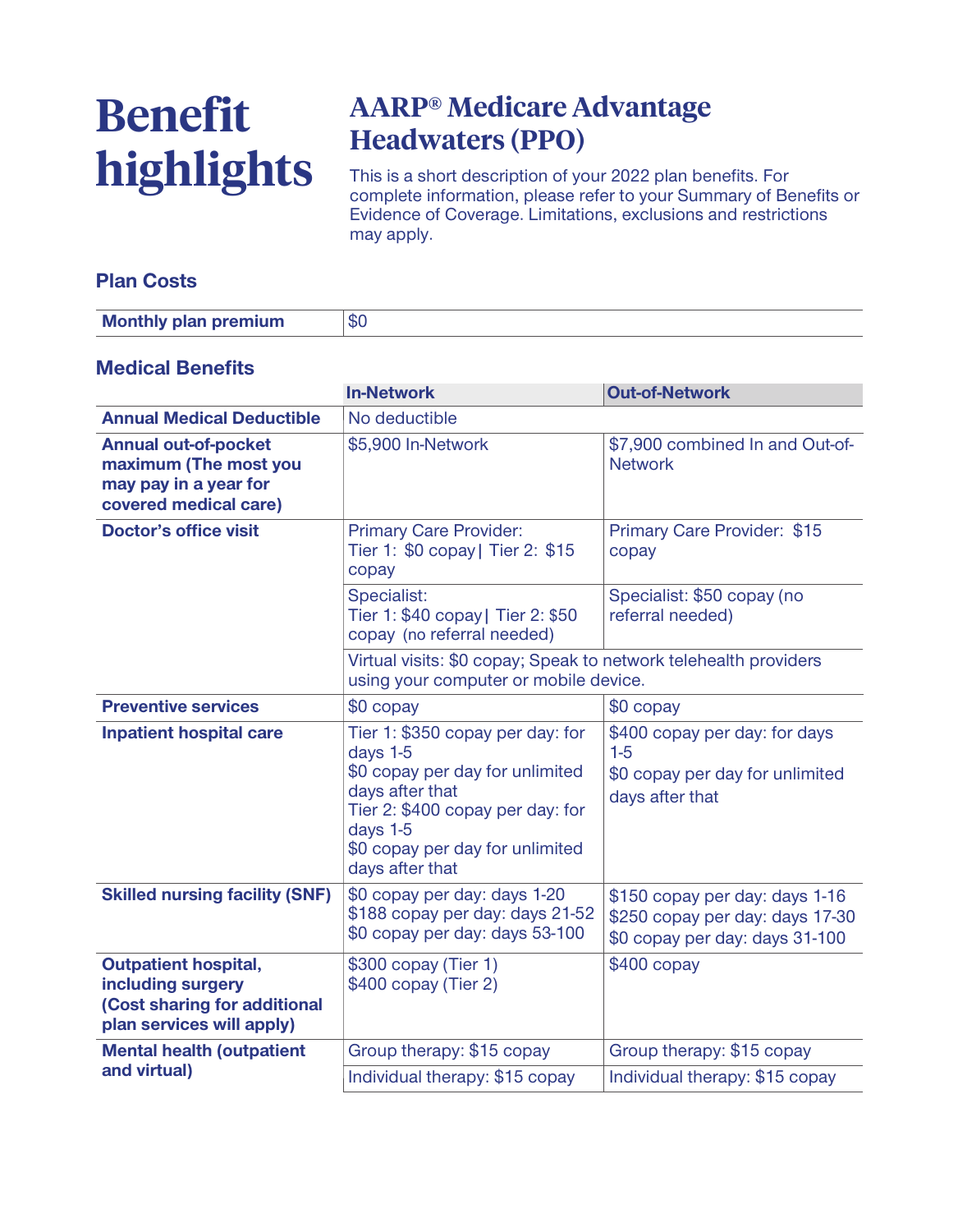# **Benefit highlights**

# **AARP® Medicare Advantage Headwaters (PPO)**

**This is a short description of your 2022 plan benefits. For complete information, please refer to your Summary of Benefits or Evidence of Coverage. Limitations, exclusions and restrictions may apply.**

### **Plan Costs**

| <b>Monthly plan premium</b> | ത്ത് |
|-----------------------------|------|

#### **Medical Benefits**

|                                                                                                               | <b>In-Network</b>                                                                                                                                                                                        | <b>Out-of-Network</b>                                                                               |
|---------------------------------------------------------------------------------------------------------------|----------------------------------------------------------------------------------------------------------------------------------------------------------------------------------------------------------|-----------------------------------------------------------------------------------------------------|
| <b>Annual Medical Deductible</b>                                                                              | No deductible                                                                                                                                                                                            |                                                                                                     |
| <b>Annual out-of-pocket</b><br>maximum (The most you<br>may pay in a year for<br>covered medical care)        | \$5,900 In-Network                                                                                                                                                                                       | \$7,900 combined In and Out-of-<br><b>Network</b>                                                   |
| <b>Doctor's office visit</b>                                                                                  | <b>Primary Care Provider:</b><br>Tier 1: \$0 copay   Tier 2: \$15<br>copay                                                                                                                               | Primary Care Provider: \$15<br>copay                                                                |
|                                                                                                               | Specialist:<br>Tier 1: \$40 copay   Tier 2: \$50<br>copay (no referral needed)                                                                                                                           | Specialist: \$50 copay (no<br>referral needed)                                                      |
|                                                                                                               | Virtual visits: \$0 copay; Speak to network telehealth providers<br>using your computer or mobile device.                                                                                                |                                                                                                     |
| <b>Preventive services</b>                                                                                    | \$0 copay                                                                                                                                                                                                | $$0$ copay                                                                                          |
| <b>Inpatient hospital care</b>                                                                                | Tier 1: \$350 copay per day: for<br>days 1-5<br>\$0 copay per day for unlimited<br>days after that<br>Tier 2: \$400 copay per day: for<br>days 1-5<br>\$0 copay per day for unlimited<br>days after that | \$400 copay per day: for days<br>$1-5$<br>\$0 copay per day for unlimited<br>days after that        |
| <b>Skilled nursing facility (SNF)</b>                                                                         | \$0 copay per day: days 1-20<br>\$188 copay per day: days 21-52<br>\$0 copay per day: days 53-100                                                                                                        | \$150 copay per day: days 1-16<br>\$250 copay per day: days 17-30<br>\$0 copay per day: days 31-100 |
| <b>Outpatient hospital,</b><br>including surgery<br>(Cost sharing for additional<br>plan services will apply) | \$300 copay (Tier 1)<br>\$400 copay (Tier 2)                                                                                                                                                             | $$400$ copay                                                                                        |
| <b>Mental health (outpatient</b>                                                                              | Group therapy: \$15 copay                                                                                                                                                                                | Group therapy: \$15 copay                                                                           |
| and virtual)                                                                                                  | Individual therapy: \$15 copay                                                                                                                                                                           | Individual therapy: \$15 copay                                                                      |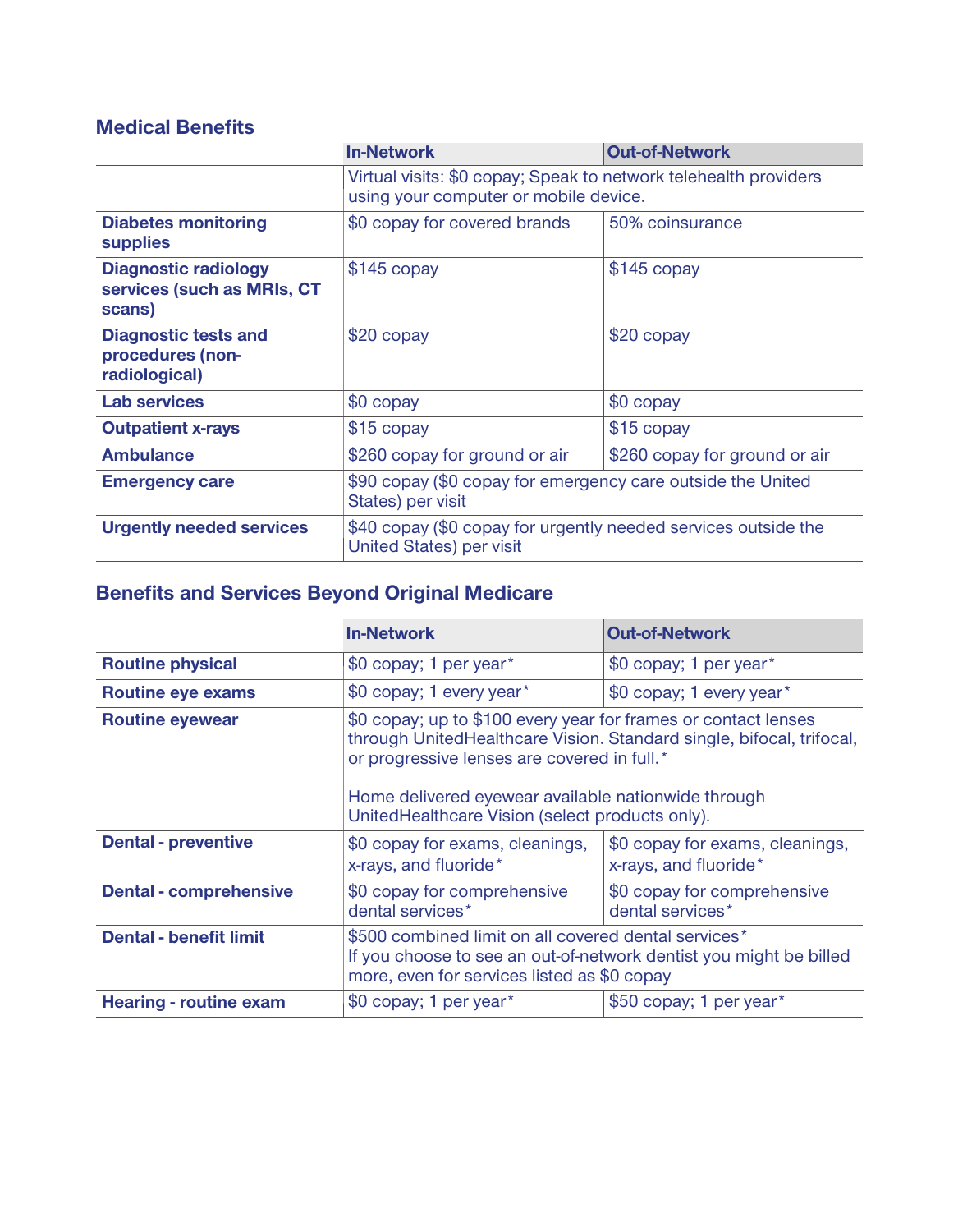## **Medical Benefits**

|                                                                     | <b>In-Network</b>                                                                                         | <b>Out-of-Network</b>         |
|---------------------------------------------------------------------|-----------------------------------------------------------------------------------------------------------|-------------------------------|
|                                                                     | Virtual visits: \$0 copay; Speak to network telehealth providers<br>using your computer or mobile device. |                               |
| <b>Diabetes monitoring</b><br><b>supplies</b>                       | \$0 copay for covered brands                                                                              | 50% coinsurance               |
| <b>Diagnostic radiology</b><br>services (such as MRIs, CT<br>scans) | $$145$ copay                                                                                              | $$145$ copay                  |
| <b>Diagnostic tests and</b><br>procedures (non-<br>radiological)    | $$20$ copay                                                                                               | $$20$ copay                   |
| <b>Lab services</b>                                                 | \$0 copay                                                                                                 | \$0 copay                     |
| <b>Outpatient x-rays</b>                                            | \$15 copay                                                                                                | \$15 copay                    |
| <b>Ambulance</b>                                                    | \$260 copay for ground or air                                                                             | \$260 copay for ground or air |
| <b>Emergency care</b>                                               | \$90 copay (\$0 copay for emergency care outside the United<br>States) per visit                          |                               |
| <b>Urgently needed services</b>                                     | \$40 copay (\$0 copay for urgently needed services outside the<br><b>United States) per visit</b>         |                               |

# **Benefits and Services Beyond Original Medicare**

|                               | <b>In-Network</b>                                                                                                                                                                                                                                                                               | <b>Out-of-Network</b>                                    |
|-------------------------------|-------------------------------------------------------------------------------------------------------------------------------------------------------------------------------------------------------------------------------------------------------------------------------------------------|----------------------------------------------------------|
| <b>Routine physical</b>       | \$0 copay; 1 per year*                                                                                                                                                                                                                                                                          | \$0 copay; 1 per year*                                   |
| <b>Routine eye exams</b>      | \$0 copay; 1 every year*                                                                                                                                                                                                                                                                        | \$0 copay; 1 every year*                                 |
| <b>Routine eyewear</b>        | \$0 copay; up to \$100 every year for frames or contact lenses<br>through UnitedHealthcare Vision. Standard single, bifocal, trifocal,<br>or progressive lenses are covered in full.*<br>Home delivered eyewear available nationwide through<br>UnitedHealthcare Vision (select products only). |                                                          |
| <b>Dental - preventive</b>    | \$0 copay for exams, cleanings,<br>x-rays, and fluoride*                                                                                                                                                                                                                                        | \$0 copay for exams, cleanings,<br>x-rays, and fluoride* |
| <b>Dental - comprehensive</b> | \$0 copay for comprehensive<br>dental services*                                                                                                                                                                                                                                                 | \$0 copay for comprehensive<br>dental services*          |
| <b>Dental - benefit limit</b> | \$500 combined limit on all covered dental services*<br>If you choose to see an out-of-network dentist you might be billed<br>more, even for services listed as \$0 copay                                                                                                                       |                                                          |
| <b>Hearing - routine exam</b> | \$0 copay; 1 per year*                                                                                                                                                                                                                                                                          | \$50 copay; 1 per year*                                  |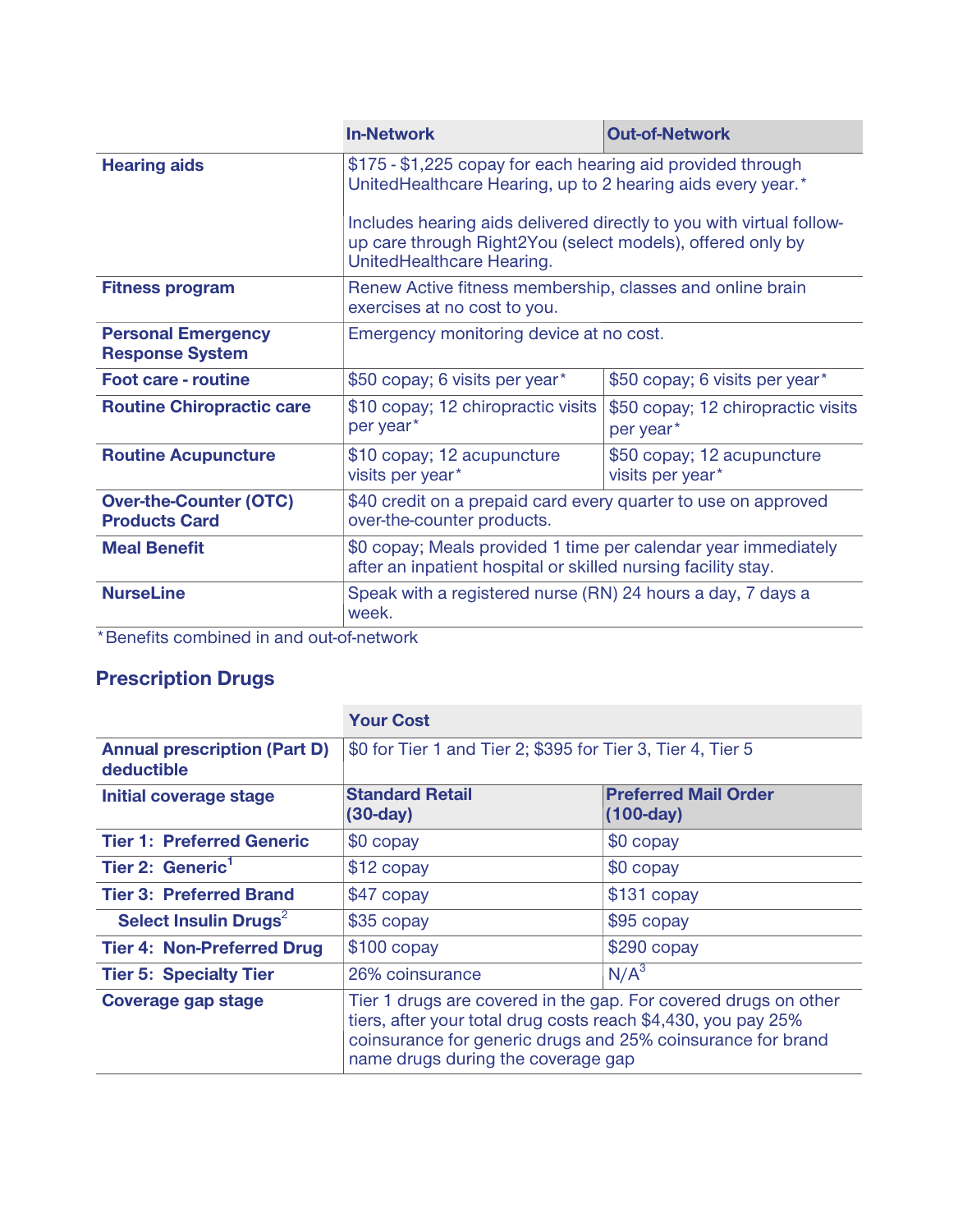|                                                       | <b>In-Network</b>                                                                                                                                                                                                                                                                             | <b>Out-of-Network</b>                           |
|-------------------------------------------------------|-----------------------------------------------------------------------------------------------------------------------------------------------------------------------------------------------------------------------------------------------------------------------------------------------|-------------------------------------------------|
| <b>Hearing aids</b>                                   | \$175 - \$1,225 copay for each hearing aid provided through<br>UnitedHealthcare Hearing, up to 2 hearing aids every year.*<br>Includes hearing aids delivered directly to you with virtual follow-<br>up care through Right2You (select models), offered only by<br>UnitedHealthcare Hearing. |                                                 |
| <b>Fitness program</b>                                | Renew Active fitness membership, classes and online brain<br>exercises at no cost to you.                                                                                                                                                                                                     |                                                 |
| <b>Personal Emergency</b><br><b>Response System</b>   | Emergency monitoring device at no cost.                                                                                                                                                                                                                                                       |                                                 |
| <b>Foot care - routine</b>                            | \$50 copay; 6 visits per year*                                                                                                                                                                                                                                                                | \$50 copay; 6 visits per year*                  |
| <b>Routine Chiropractic care</b>                      | \$10 copay; 12 chiropractic visits<br>per year*                                                                                                                                                                                                                                               | \$50 copay; 12 chiropractic visits<br>per year* |
| <b>Routine Acupuncture</b>                            | \$10 copay; 12 acupuncture<br>visits per year*                                                                                                                                                                                                                                                | \$50 copay; 12 acupuncture<br>visits per year*  |
| <b>Over-the-Counter (OTC)</b><br><b>Products Card</b> | \$40 credit on a prepaid card every quarter to use on approved<br>over-the-counter products.                                                                                                                                                                                                  |                                                 |
| <b>Meal Benefit</b>                                   | \$0 copay; Meals provided 1 time per calendar year immediately<br>after an inpatient hospital or skilled nursing facility stay.                                                                                                                                                               |                                                 |
| <b>NurseLine</b>                                      | Speak with a registered nurse (RN) 24 hours a day, 7 days a<br>week.                                                                                                                                                                                                                          |                                                 |
| $*$ Dopofito combined in and out of potwark           |                                                                                                                                                                                                                                                                                               |                                                 |

**\*Benefits combined in and out-of-network**

## **Prescription Drugs**

|                                                   | <b>Your Cost</b>                                                                                                                                                                                                                      |                                            |
|---------------------------------------------------|---------------------------------------------------------------------------------------------------------------------------------------------------------------------------------------------------------------------------------------|--------------------------------------------|
| <b>Annual prescription (Part D)</b><br>deductible | \$0 for Tier 1 and Tier 2; \$395 for Tier 3, Tier 4, Tier 5                                                                                                                                                                           |                                            |
| Initial coverage stage                            | <b>Standard Retail</b><br>$(30-day)$                                                                                                                                                                                                  | <b>Preferred Mail Order</b><br>$(100-day)$ |
| <b>Tier 1: Preferred Generic</b>                  | \$0 copay                                                                                                                                                                                                                             | $$0$ copay                                 |
| Tier 2: Generic <sup>1</sup>                      | $$12$ copay                                                                                                                                                                                                                           | \$0 copay                                  |
| <b>Tier 3: Preferred Brand</b>                    | \$47 copay                                                                                                                                                                                                                            | \$131 copay                                |
| Select Insulin Drugs <sup>2</sup>                 | $$35$ copay                                                                                                                                                                                                                           | \$95 copay                                 |
| <b>Tier 4: Non-Preferred Drug</b>                 | $$100$ copay                                                                                                                                                                                                                          | $$290$ copay                               |
| <b>Tier 5: Specialty Tier</b>                     | 26% coinsurance                                                                                                                                                                                                                       | N/A <sup>3</sup>                           |
| <b>Coverage gap stage</b>                         | Tier 1 drugs are covered in the gap. For covered drugs on other<br>tiers, after your total drug costs reach \$4,430, you pay 25%<br>coinsurance for generic drugs and 25% coinsurance for brand<br>name drugs during the coverage gap |                                            |